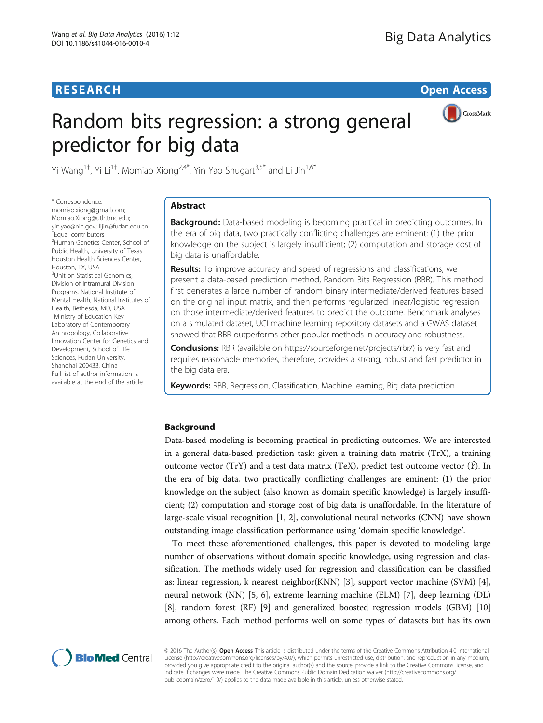# **RESEARCH CHEAR CHEAR CHEAR CHEAR CHEAR CHEAR CHEAR CHEAR CHEAR CHEAR CHEAR CHEAR CHEAR CHEAR CHEAR CHEAR CHEAR**

# Random bits regression: a strong general predictor for big data



Yi Wang<sup>1†</sup>, Yi Li<sup>1†</sup>, Momiao Xiong<sup>2,4\*</sup>, Yin Yao Shugart<sup>3,5\*</sup> and Li Jin<sup>1,6\*</sup>

\* Correspondence:

[momiao.xiong@gmail.com](mailto:momiao.xiong@gmail.com); [Momiao.Xiong@uth.tmc.edu;](mailto:Momiao.Xiong@uth.tmc.edu) [yin.yao@nih.gov;](mailto:yin.yao@nih.gov) [lijin@fudan.edu.cn](mailto:lijin@fudan.edu.cn) † <sup>+</sup>Equal contributors <sup>2</sup>Human Genetics Center, School of Public Health, University of Texas Houston Health Sciences Center, Houston, TX, USA <sup>3</sup>Unit on Statistical Genomics, Division of Intramural Division Programs, National Institute of Mental Health, National Institutes of Health, Bethesda, MD, USA <sup>1</sup>Ministry of Education Key Laboratory of Contemporary Anthropology, Collaborative Innovation Center for Genetics and Development, School of Life Sciences, Fudan University, Shanghai 200433, China Full list of author information is available at the end of the article

# Abstract

**Background:** Data-based modeling is becoming practical in predicting outcomes. In the era of big data, two practically conflicting challenges are eminent: (1) the prior knowledge on the subject is largely insufficient; (2) computation and storage cost of big data is unaffordable.

**Results:** To improve accuracy and speed of regressions and classifications, we present a data-based prediction method, Random Bits Regression (RBR). This method first generates a large number of random binary intermediate/derived features based on the original input matrix, and then performs regularized linear/logistic regression on those intermediate/derived features to predict the outcome. Benchmark analyses on a simulated dataset, UCI machine learning repository datasets and a GWAS dataset showed that RBR outperforms other popular methods in accuracy and robustness.

Conclusions: RBR (available on [https://sourceforge.net/projects/rbr/\)](https://sourceforge.net/projects/rbr/) is very fast and requires reasonable memories, therefore, provides a strong, robust and fast predictor in the big data era.

**Keywords:** RBR, Regression, Classification, Machine learning, Big data prediction

# Background

Data-based modeling is becoming practical in predicting outcomes. We are interested in a general data-based prediction task: given a training data matrix (TrX), a training outcome vector (TrY) and a test data matrix (TeX), predict test outcome vector  $(\hat{Y})$ . In the era of big data, two practically conflicting challenges are eminent: (1) the prior knowledge on the subject (also known as domain specific knowledge) is largely insufficient; (2) computation and storage cost of big data is unaffordable. In the literature of large-scale visual recognition [\[1](#page-8-0), [2\]](#page-8-0), convolutional neural networks (CNN) have shown outstanding image classification performance using 'domain specific knowledge'.

To meet these aforementioned challenges, this paper is devoted to modeling large number of observations without domain specific knowledge, using regression and classification. The methods widely used for regression and classification can be classified as: linear regression, k nearest neighbor(KNN) [[3](#page-8-0)], support vector machine (SVM) [\[4](#page-8-0)], neural network (NN) [[5, 6](#page-8-0)], extreme learning machine (ELM) [[7\]](#page-9-0), deep learning (DL) [[8\]](#page-9-0), random forest (RF) [[9\]](#page-9-0) and generalized boosted regression models (GBM) [[10](#page-9-0)] among others. Each method performs well on some types of datasets but has its own



© 2016 The Author(s). Open Access This article is distributed under the terms of the Creative Commons Attribution 4.0 International License ([http://creativecommons.org/licenses/by/4.0/\)](http://creativecommons.org/licenses/by/4.0/), which permits unrestricted use, distribution, and reproduction in any medium, provided you give appropriate credit to the original author(s) and the source, provide a link to the Creative Commons license, and indicate if changes were made. The Creative Commons Public Domain Dedication waiver ([http://creativecommons.org/](http://creativecommons.org/publicdomain/zero/1.0/) [publicdomain/zero/1.0/\)](http://creativecommons.org/publicdomain/zero/1.0/) applies to the data made available in this article, unless otherwise stated.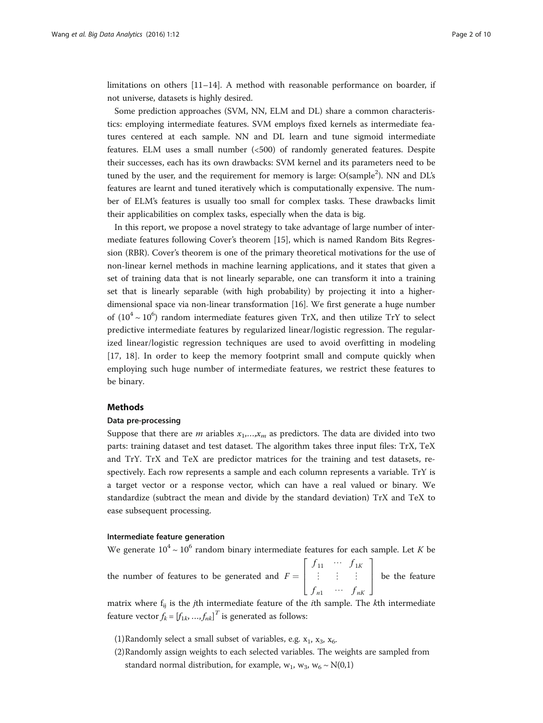limitations on others [[11](#page-9-0)–[14](#page-9-0)]. A method with reasonable performance on boarder, if not universe, datasets is highly desired.

Some prediction approaches (SVM, NN, ELM and DL) share a common characteristics: employing intermediate features. SVM employs fixed kernels as intermediate features centered at each sample. NN and DL learn and tune sigmoid intermediate features. ELM uses a small number (<500) of randomly generated features. Despite their successes, each has its own drawbacks: SVM kernel and its parameters need to be tuned by the user, and the requirement for memory is large: O(sample<sup>2</sup>). NN and DL's features are learnt and tuned iteratively which is computationally expensive. The number of ELM's features is usually too small for complex tasks. These drawbacks limit their applicabilities on complex tasks, especially when the data is big.

In this report, we propose a novel strategy to take advantage of large number of intermediate features following Cover's theorem [\[15](#page-9-0)], which is named Random Bits Regression (RBR). Cover's theorem is one of the primary theoretical motivations for the use of non-linear kernel methods in machine learning applications, and it states that given a set of training data that is not linearly separable, one can transform it into a training set that is linearly separable (with high probability) by projecting it into a higherdimensional space via non-linear transformation [[16\]](#page-9-0). We first generate a huge number of  $(10^4 \sim 10^6)$  random intermediate features given TrX, and then utilize TrY to select predictive intermediate features by regularized linear/logistic regression. The regularized linear/logistic regression techniques are used to avoid overfitting in modeling [[17, 18\]](#page-9-0). In order to keep the memory footprint small and compute quickly when employing such huge number of intermediate features, we restrict these features to be binary.

# Methods

# Data pre-processing

Suppose that there are *m* ariables  $x_1,...,x_m$  as predictors. The data are divided into two parts: training dataset and test dataset. The algorithm takes three input files: TrX, TeX and TrY. TrX and TeX are predictor matrices for the training and test datasets, respectively. Each row represents a sample and each column represents a variable. TrY is a target vector or a response vector, which can have a real valued or binary. We standardize (subtract the mean and divide by the standard deviation) TrX and TeX to ease subsequent processing.

# Intermediate feature generation

We generate  $10^4 \sim 10^6$  random binary intermediate features for each sample. Let K be  $f_{11} \cdots f_{1K}$  $\sqrt{2}$ 1

the number of features to be generated and  $F =$  $\mathbf{i}$  $f_{n1} \quad \cdots \quad f_{nK}$  $\overline{\phantom{a}}$ | be the feature

matrix where  $f_{ii}$  is the *j*th intermediate feature of the *i*th sample. The *k*th intermediate feature vector  $f_k = [f_{1k}, ..., f_{nk}]^T$  is generated as follows:

- (1) Randomly select a small subset of variables, e.g.  $x_1$ ,  $x_3$ ,  $x_6$ .
- (2)Randomly assign weights to each selected variables. The weights are sampled from standard normal distribution, for example,  $w_1$ ,  $w_3$ ,  $w_6 \sim N(0,1)$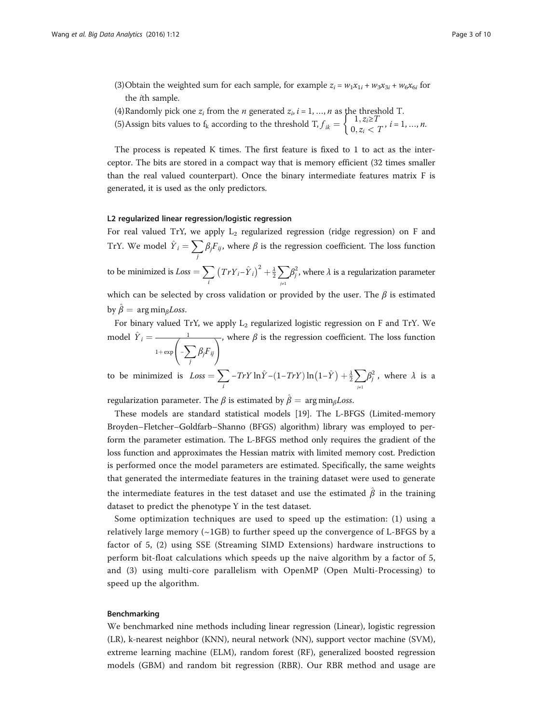- (3) Obtain the weighted sum for each sample, for example  $z_i = w_1 x_{1i} + w_3 x_{3i} + w_6 x_{6i}$  for the ith sample.
- 
- (4)Randomly pick one  $z_i$  from the *n* generated  $z_i$ ,  $i = 1, ..., n$  as the threshold T.<br>
(5)Assign bits values to  $f_k$  according to the threshold T,  $f_{ik} = \begin{cases} 1, z_i \ge T \\ 0, z_i < T \end{cases}$ ,  $i = 1$  $\begin{cases} 1, z_i \geq T \\ 0, z_i \leq T \end{cases}$ ,  $i = 1, ..., n$ .

The process is repeated K times. The first feature is fixed to 1 to act as the interceptor. The bits are stored in a compact way that is memory efficient (32 times smaller than the real valued counterpart). Once the binary intermediate features matrix F is generated, it is used as the only predictors.

# L2 regularized linear regression/logistic regression

For real valued TrY, we apply  $L_2$  regularized regression (ridge regression) on F and TrY. We model  $\hat{Y}_i = \sum_j \beta_j F_{ij}$ , where  $\beta$  is the regression coefficient. The loss function to be minimized is  $Loss = \sum_i$  $(TrY_i-\hat{Y}_i)^2+\frac{\lambda}{2}\sum$ j≠1  $\beta_i^2$ , where  $\lambda$  is a regularization parameter which can be selected by cross validation or provided by the user. The  $\beta$  is estimated

by  $\hat{\beta} = \arg \min_{\beta} Loss.$ 

For binary valued TrY, we apply  $L_2$  regularized logistic regression on F and TrY. We model  $\hat{Y}_i = \frac{1}{\sqrt{1 - \frac{1}{i}}$  $1+\exp\left(-\sum\right)$  $\frac{1}{\left(-\sum_j \beta_j F_{ij}\right)}$ , where  $\beta$  is the regression coefficient. The loss function

to be minimized is  $Loss = \sum_{i} -TrY \ln \hat{Y} - (1 - TrY) \ln(1-\hat{Y}) + \frac{\lambda}{2} \sum_{i=1}^{N}$ j≠1  $\beta_i^2$ , where  $\lambda$  is a

regularization parameter. The  $\beta$  is estimated by  $\hat{\beta} = \arg \min_{\beta} Loss$ .

These models are standard statistical models [[19\]](#page-9-0). The L-BFGS (Limited-memory Broyden–Fletcher–Goldfarb–Shanno (BFGS) algorithm) library was employed to perform the parameter estimation. The L-BFGS method only requires the gradient of the loss function and approximates the Hessian matrix with limited memory cost. Prediction is performed once the model parameters are estimated. Specifically, the same weights that generated the intermediate features in the training dataset were used to generate the intermediate features in the test dataset and use the estimated  $\hat{\beta}$  in the training dataset to predict the phenotype Y in the test dataset.

Some optimization techniques are used to speed up the estimation: (1) using a relatively large memory  $(\sim 1GB)$  to further speed up the convergence of L-BFGS by a factor of 5, (2) using SSE (Streaming SIMD Extensions) hardware instructions to perform bit-float calculations which speeds up the naive algorithm by a factor of 5, and (3) using multi-core parallelism with OpenMP (Open Multi-Processing) to speed up the algorithm.

# Benchmarking

We benchmarked nine methods including linear regression (Linear), logistic regression (LR), k-nearest neighbor (KNN), neural network (NN), support vector machine (SVM), extreme learning machine (ELM), random forest (RF), generalized boosted regression models (GBM) and random bit regression (RBR). Our RBR method and usage are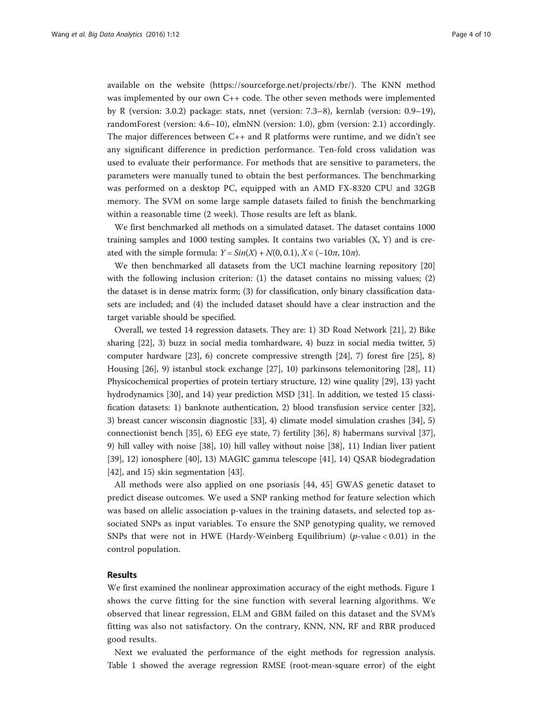available on the website [\(https://sourceforge.net/projects/rbr/](https://sourceforge.net/projects/rbr/)). The KNN method was implemented by our own C++ code. The other seven methods were implemented by R (version: 3.0.2) package: stats, nnet (version: 7.3–8), kernlab (version: 0.9–19), randomForest (version: 4.6–10), elmNN (version: 1.0), gbm (version: 2.1) accordingly. The major differences between C++ and R platforms were runtime, and we didn't see any significant difference in prediction performance. Ten-fold cross validation was used to evaluate their performance. For methods that are sensitive to parameters, the parameters were manually tuned to obtain the best performances. The benchmarking was performed on a desktop PC, equipped with an AMD FX-8320 CPU and 32GB memory. The SVM on some large sample datasets failed to finish the benchmarking within a reasonable time (2 week). Those results are left as blank.

We first benchmarked all methods on a simulated dataset. The dataset contains 1000 training samples and  $1000$  testing samples. It contains two variables  $(X, Y)$  and is created with the simple formula:  $Y = Sin(X) + N(0, 0.1), X \in (-10\pi, 10\pi)$ .

We then benchmarked all datasets from the UCI machine learning repository [[20](#page-9-0)] with the following inclusion criterion: (1) the dataset contains no missing values; (2) the dataset is in dense matrix form; (3) for classification, only binary classification datasets are included; and (4) the included dataset should have a clear instruction and the target variable should be specified.

Overall, we tested 14 regression datasets. They are: 1) 3D Road Network [[21](#page-9-0)], 2) Bike sharing [\[22](#page-9-0)], 3) buzz in social media tomhardware, 4) buzz in social media twitter, 5) computer hardware [\[23](#page-9-0)], 6) concrete compressive strength [\[24](#page-9-0)], 7) forest fire [\[25](#page-9-0)], 8) Housing [[26\]](#page-9-0), 9) istanbul stock exchange [\[27\]](#page-9-0), 10) parkinsons telemonitoring [[28\]](#page-9-0), 11) Physicochemical properties of protein tertiary structure, 12) wine quality [[29\]](#page-9-0), 13) yacht hydrodynamics [[30\]](#page-9-0), and 14) year prediction MSD [[31\]](#page-9-0). In addition, we tested 15 classification datasets: 1) banknote authentication, 2) blood transfusion service center [[32](#page-9-0)], 3) breast cancer wisconsin diagnostic [[33](#page-9-0)], 4) climate model simulation crashes [\[34](#page-9-0)], 5) connectionist bench [[35\]](#page-9-0), 6) EEG eye state, 7) fertility [[36](#page-9-0)], 8) habermans survival [[37](#page-9-0)], 9) hill valley with noise [[38](#page-9-0)], 10) hill valley without noise [[38\]](#page-9-0), 11) Indian liver patient [[39\]](#page-9-0), 12) ionosphere [\[40](#page-9-0)], 13) MAGIC gamma telescope [[41](#page-9-0)], 14) QSAR biodegradation [[42\]](#page-9-0), and 15) skin segmentation [\[43\]](#page-9-0).

All methods were also applied on one psoriasis [[44, 45\]](#page-9-0) GWAS genetic dataset to predict disease outcomes. We used a SNP ranking method for feature selection which was based on allelic association p-values in the training datasets, and selected top associated SNPs as input variables. To ensure the SNP genotyping quality, we removed SNPs that were not in HWE (Hardy-Weinberg Equilibrium) ( $p$ -value < 0.01) in the control population.

# Results

We first examined the nonlinear approximation accuracy of the eight methods. Figure [1](#page-4-0) shows the curve fitting for the sine function with several learning algorithms. We observed that linear regression, ELM and GBM failed on this dataset and the SVM's fitting was also not satisfactory. On the contrary, KNN, NN, RF and RBR produced good results.

Next we evaluated the performance of the eight methods for regression analysis. Table [1](#page-5-0) showed the average regression RMSE (root-mean-square error) of the eight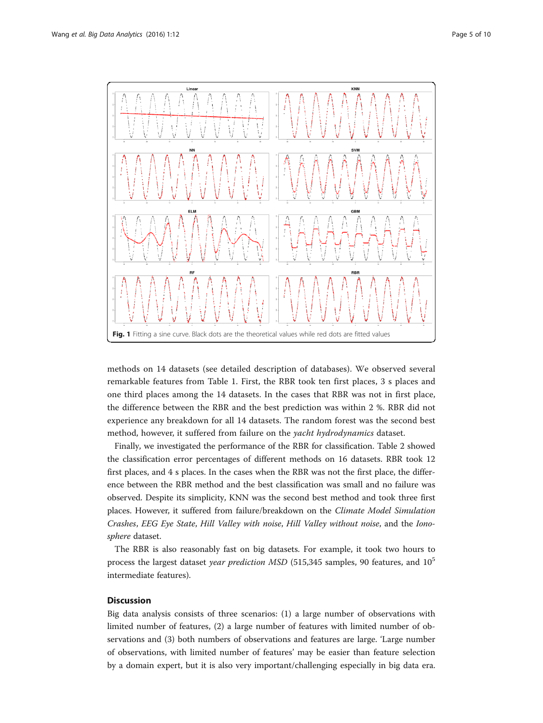<span id="page-4-0"></span>

methods on 14 datasets (see detailed description of databases). We observed several remarkable features from Table [1.](#page-5-0) First, the RBR took ten first places, 3 s places and one third places among the 14 datasets. In the cases that RBR was not in first place, the difference between the RBR and the best prediction was within 2 %. RBR did not experience any breakdown for all 14 datasets. The random forest was the second best method, however, it suffered from failure on the yacht hydrodynamics dataset.

Finally, we investigated the performance of the RBR for classification. Table [2](#page-6-0) showed the classification error percentages of different methods on 16 datasets. RBR took 12 first places, and 4 s places. In the cases when the RBR was not the first place, the difference between the RBR method and the best classification was small and no failure was observed. Despite its simplicity, KNN was the second best method and took three first places. However, it suffered from failure/breakdown on the Climate Model Simulation Crashes, EEG Eye State, Hill Valley with noise, Hill Valley without noise, and the Ionosphere dataset.

The RBR is also reasonably fast on big datasets. For example, it took two hours to process the largest dataset *year prediction MSD* (515,345 samples, 90 features, and  $10<sup>5</sup>$ intermediate features).

# Discussion

Big data analysis consists of three scenarios: (1) a large number of observations with limited number of features, (2) a large number of features with limited number of observations and (3) both numbers of observations and features are large. 'Large number of observations, with limited number of features' may be easier than feature selection by a domain expert, but it is also very important/challenging especially in big data era.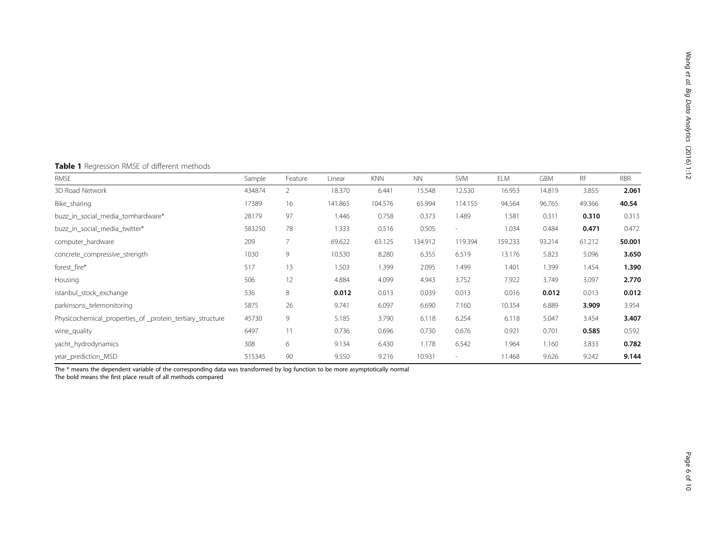<span id="page-5-0"></span>

| RMSE                                                      | Sample | Feature | Linear  | <b>KNN</b> | <b>NN</b> | <b>SVM</b> | <b>ELM</b> | <b>GBM</b> | <b>RF</b> | <b>RBR</b> |
|-----------------------------------------------------------|--------|---------|---------|------------|-----------|------------|------------|------------|-----------|------------|
| 3D Road Network                                           | 434874 | 2       | 18.370  | 6.441      | 15.548    | 12.530     | 16.953     | 14.819     | 3.855     | 2.061      |
| Bike_sharing                                              | 17389  | 16      | 141.865 | 104.576    | 65.994    | 114.155    | 94.564     | 96.765     | 49.366    | 40.54      |
| buzz_in_social_media_tomhardware*                         | 28179  | 97      | 1.446   | 0.758      | 0.373     | 1.489      | 1.581      | 0.311      | 0.310     | 0.313      |
| buzz_in_social_media_twitter*                             | 583250 | 78      | 1.333   | 0.516      | 0.505     | ٠          | 1.034      | 0.484      | 0.471     | 0.472      |
| computer_hardware                                         | 209    |         | 69.622  | 63.125     | 134.912   | 119.394    | 159.233    | 93.214     | 61.212    | 50.001     |
| concrete_compressive_strength                             | 1030   | 9       | 10.530  | 8.280      | 6.355     | 6.519      | 13.176     | 5.823      | 5.096     | 3.650      |
| forest_fire*                                              | 517    | 13      | 1.503   | 1.399      | 2.095     | 1.499      | 1.401      | 1.399      | 1.454     | 1.390      |
| Housing                                                   | 506    | 12      | 4.884   | 4.099      | 4.943     | 3.752      | 7.922      | 3.749      | 3.097     | 2.770      |
| istanbul_stock_exchange                                   | 536    | 8       | 0.012   | 0.013      | 0.039     | 0.013      | 0.016      | 0.012      | 0.013     | 0.012      |
| parkinsons_telemonitoring                                 | 5875   | 26      | 9.741   | 6.097      | 6.690     | 7.160      | 10.354     | 6.889      | 3.909     | 3.954      |
| Physicochemical_properties_of _protein_tertiary_structure | 45730  | 9       | 5.185   | 3.790      | 6.118     | 6.254      | 6.118      | 5.047      | 3.454     | 3.407      |
| wine_quality                                              | 6497   | 11      | 0.736   | 0.696      | 0.730     | 0.676      | 0.921      | 0.701      | 0.585     | 0.592      |
| yacht_hydrodynamics                                       | 308    | 6       | 9.134   | 6.430      | 1.178     | 6.542      | 1.964      | 1.160      | 3.833     | 0.782      |
| year_prediction_MSD                                       | 515345 | 90      | 9.550   | 9.216      | 10.931    | ٠          | 11.468     | 9.626      | 9.242     | 9.144      |

The \* means the dependent variable of the corresponding data was transformed by log function to be more asymptotically normal

The bold means the first place result of all methods compared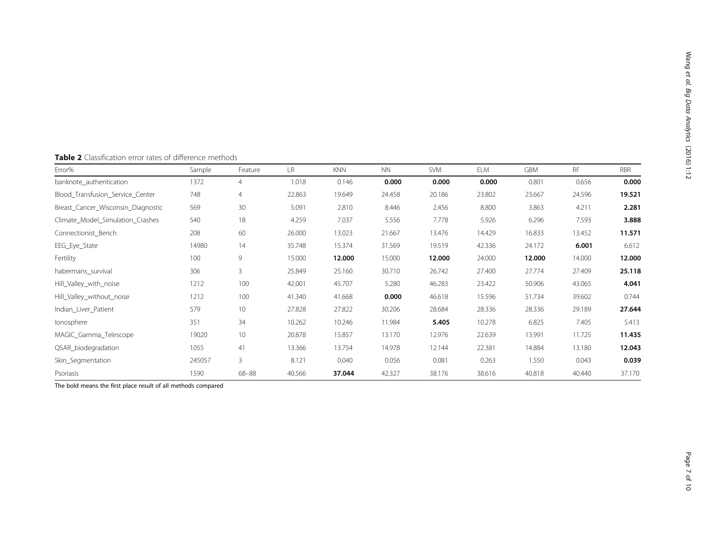<span id="page-6-0"></span>

|  | <b>Table 2</b> Classification error rates of difference methods |  |  |
|--|-----------------------------------------------------------------|--|--|
|  |                                                                 |  |  |

| Error%                             | Sample | Feature        | <b>LR</b> | <b>KNN</b> | <b>NN</b> | <b>SVM</b> | ELM    | <b>GBM</b> | <b>RF</b> | RBR    |
|------------------------------------|--------|----------------|-----------|------------|-----------|------------|--------|------------|-----------|--------|
| banknote_authentication            | 1372   | $\overline{4}$ | 1.018     | 0.146      | 0.000     | 0.000      | 0.000  | 0.801      | 0.656     | 0.000  |
| Blood_Transfusion_Service_Center   | 748    | $\overline{4}$ | 22.863    | 19.649     | 24.458    | 20.186     | 23.802 | 23.667     | 24.596    | 19.521 |
| Breast_Cancer_Wisconsin_Diagnostic | 569    | 30             | 5.091     | 2.810      | 8.446     | 2.456      | 8.800  | 3.863      | 4.211     | 2.281  |
| Climate_Model_Simulation_Crashes   | 540    | 18             | 4.259     | 7.037      | 5.556     | 7.778      | 5.926  | 6.296      | 7.593     | 3.888  |
| Connectionist_Bench                | 208    | 60             | 26.000    | 13.023     | 21.667    | 13.476     | 14.429 | 16.833     | 13.452    | 11.571 |
| EEG_Eye_State                      | 14980  | 14             | 35.748    | 15.374     | 31.569    | 19.519     | 42.336 | 24.172     | 6.001     | 6.612  |
| Fertility                          | 100    | 9              | 15.000    | 12.000     | 15.000    | 12.000     | 24.000 | 12.000     | 14.000    | 12.000 |
| habermans survival                 | 306    | $\mathbf{3}$   | 25.849    | 25.160     | 30.710    | 26.742     | 27.400 | 27.774     | 27.409    | 25.118 |
| Hill_Valley_with_noise             | 1212   | 100            | 42.001    | 45.707     | 5.280     | 46.283     | 23.422 | 50.906     | 43.065    | 4.041  |
| Hill_Valley_without_noise          | 1212   | 100            | 41.340    | 41.668     | 0.000     | 46.618     | 15.596 | 51.734     | 39.602    | 0.744  |
| Indian_Liver_Patient               | 579    | 10             | 27.828    | 27.822     | 30.206    | 28.684     | 28.336 | 28.336     | 29.189    | 27.644 |
| lonosphere                         | 351    | 34             | 10.262    | 10.246     | 11.984    | 5.405      | 10.278 | 6.825      | 7.405     | 5.413  |
| MAGIC Gamma Telescope              | 19020  | 10             | 20.878    | 15.857     | 13.170    | 12.976     | 22.639 | 13.991     | 11.725    | 11.435 |
| QSAR_biodegradation                | 1055   | 41             | 13.366    | 13.754     | 14.978    | 12.144     | 22.381 | 14.884     | 13.180    | 12.043 |
| Skin_Segmentation                  | 245057 | $\mathbf{3}$   | 8.121     | 0.040      | 0.056     | 0.081      | 0.263  | 1.550      | 0.043     | 0.039  |
| Psoriasis                          | 1590   | 68-88          | 40.566    | 37.044     | 42.327    | 38.176     | 38.616 | 40.818     | 40.440    | 37.170 |

The bold means the first place result of all methods compared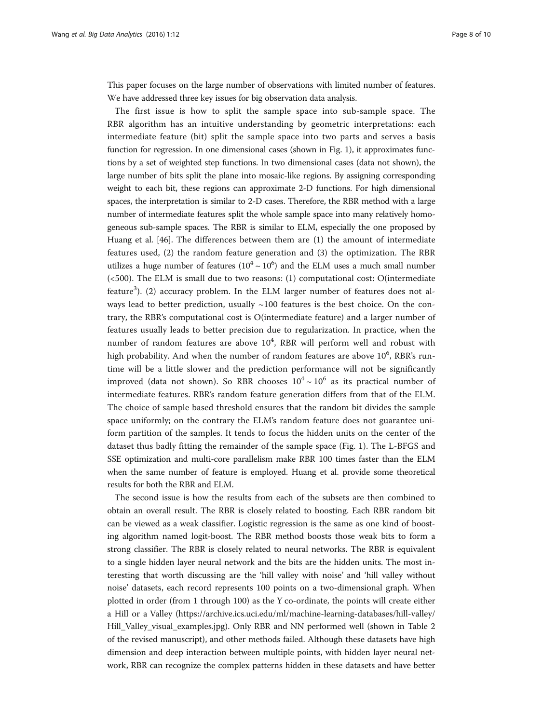This paper focuses on the large number of observations with limited number of features. We have addressed three key issues for big observation data analysis.

The first issue is how to split the sample space into sub-sample space. The RBR algorithm has an intuitive understanding by geometric interpretations: each intermediate feature (bit) split the sample space into two parts and serves a basis function for regression. In one dimensional cases (shown in Fig. [1](#page-4-0)), it approximates functions by a set of weighted step functions. In two dimensional cases (data not shown), the large number of bits split the plane into mosaic-like regions. By assigning corresponding weight to each bit, these regions can approximate 2-D functions. For high dimensional spaces, the interpretation is similar to 2-D cases. Therefore, the RBR method with a large number of intermediate features split the whole sample space into many relatively homogeneous sub-sample spaces. The RBR is similar to ELM, especially the one proposed by Huang et al. [\[46\]](#page-9-0). The differences between them are (1) the amount of intermediate features used, (2) the random feature generation and (3) the optimization. The RBR utilizes a huge number of features  $(10^4 \sim 10^6)$  and the ELM uses a much small number (<500). The ELM is small due to two reasons: (1) computational cost: O(intermediate feature<sup>3</sup>). (2) accuracy problem. In the ELM larger number of features does not always lead to better prediction, usually  $\sim$ 100 features is the best choice. On the contrary, the RBR's computational cost is O(intermediate feature) and a larger number of features usually leads to better precision due to regularization. In practice, when the number of random features are above  $10^4$ , RBR will perform well and robust with high probability. And when the number of random features are above  $10^6\rm ,$  RBR's runtime will be a little slower and the prediction performance will not be significantly improved (data not shown). So RBR chooses  $10^4 \sim 10^6$  as its practical number of intermediate features. RBR's random feature generation differs from that of the ELM. The choice of sample based threshold ensures that the random bit divides the sample space uniformly; on the contrary the ELM's random feature does not guarantee uniform partition of the samples. It tends to focus the hidden units on the center of the dataset thus badly fitting the remainder of the sample space (Fig. [1](#page-4-0)). The L-BFGS and SSE optimization and multi-core parallelism make RBR 100 times faster than the ELM when the same number of feature is employed. Huang et al. provide some theoretical results for both the RBR and ELM.

The second issue is how the results from each of the subsets are then combined to obtain an overall result. The RBR is closely related to boosting. Each RBR random bit can be viewed as a weak classifier. Logistic regression is the same as one kind of boosting algorithm named logit-boost. The RBR method boosts those weak bits to form a strong classifier. The RBR is closely related to neural networks. The RBR is equivalent to a single hidden layer neural network and the bits are the hidden units. The most interesting that worth discussing are the 'hill valley with noise' and 'hill valley without noise' datasets, each record represents 100 points on a two-dimensional graph. When plotted in order (from 1 through 100) as the Y co-ordinate, the points will create either a Hill or a Valley ([https://archive.ics.uci.edu/ml/machine-learning-databases/hill-valley/](https://archive.ics.uci.edu/ml/machine-learning-databases/hill-valley/Hill_Valley_visual_examples.jpg) [Hill\\_Valley\\_visual\\_examples.jpg\)](https://archive.ics.uci.edu/ml/machine-learning-databases/hill-valley/Hill_Valley_visual_examples.jpg). Only RBR and NN performed well (shown in Table [2](#page-6-0) of the revised manuscript), and other methods failed. Although these datasets have high dimension and deep interaction between multiple points, with hidden layer neural network, RBR can recognize the complex patterns hidden in these datasets and have better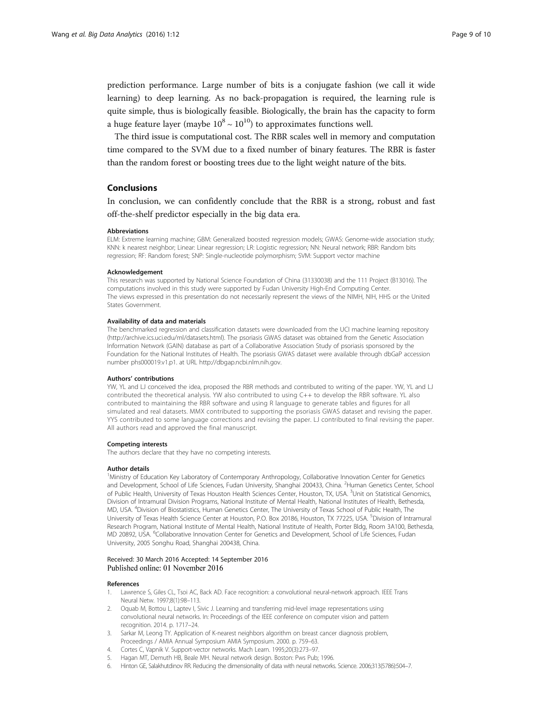<span id="page-8-0"></span>prediction performance. Large number of bits is a conjugate fashion (we call it wide learning) to deep learning. As no back-propagation is required, the learning rule is quite simple, thus is biologically feasible. Biologically, the brain has the capacity to form a huge feature layer (maybe  $10^8 \sim 10^{10}$ ) to approximates functions well.

The third issue is computational cost. The RBR scales well in memory and computation time compared to the SVM due to a fixed number of binary features. The RBR is faster than the random forest or boosting trees due to the light weight nature of the bits.

# Conclusions

In conclusion, we can confidently conclude that the RBR is a strong, robust and fast off-the-shelf predictor especially in the big data era.

#### Abbreviations

ELM: Extreme learning machine; GBM: Generalized boosted regression models; GWAS: Genome-wide association study; KNN: k nearest neighbor; Linear: Linear regression; LR: Logistic regression; NN: Neural network; RBR: Random bits regression; RF: Random forest; SNP: Single-nucleotide polymorphism; SVM: Support vector machine

### Acknowledgement

This research was supported by National Science Foundation of China (31330038) and the 111 Project (B13016). The computations involved in this study were supported by Fudan University High-End Computing Center. The views expressed in this presentation do not necessarily represent the views of the NIMH, NIH, HHS or the United States Government.

## Availability of data and materials

The benchmarked regression and classification datasets were downloaded from the UCI machine learning repository ([http://archive.ics.uci.edu/ml/datasets.html\)](http://archive.ics.uci.edu/ml/datasets.html). The psoriasis GWAS dataset was obtained from the Genetic Association Information Network (GAIN) database as part of a Collaborative Association Study of psoriasis sponsored by the Foundation for the National Institutes of Health. The psoriasis GWAS dataset were available through dbGaP accession number phs000019.v1.p1. at URL [http://dbgap.ncbi.nlm.nih.gov.](http://dbgap.ncbi.nlm.nih.gov/)

### Authors' contributions

YW, YL and LJ conceived the idea, proposed the RBR methods and contributed to writing of the paper. YW, YL and LJ contributed the theoretical analysis. YW also contributed to using C++ to develop the RBR software. YL also contributed to maintaining the RBR software and using R language to generate tables and figures for all simulated and real datasets. MMX contributed to supporting the psoriasis GWAS dataset and revising the paper. YYS contributed to some language corrections and revising the paper. LJ contributed to final revising the paper. All authors read and approved the final manuscript.

## Competing interests

The authors declare that they have no competing interests.

#### Author details

<sup>1</sup>Ministry of Education Key Laboratory of Contemporary Anthropology, Collaborative Innovation Center for Genetics and Development, School of Life Sciences, Fudan University, Shanghai 200433, China. <sup>2</sup> Human Genetics Center, School of Public Health, University of Texas Houston Health Sciences Center, Houston, TX, USA. <sup>3</sup>Unit on Statistical Genomics, Division of Intramural Division Programs, National Institute of Mental Health, National Institutes of Health, Bethesda, MD, USA. <sup>4</sup> Division of Biostatistics, Human Genetics Center, The University of Texas School of Public Health, The University of Texas Health Science Center at Houston, P.O. Box 20186, Houston, TX 77225, USA. <sup>5</sup>Division of Intramural Research Program, National Institute of Mental Health, National Institute of Health, Porter Bldg, Room 3A100, Bethesda, MD 20892, USA. <sup>6</sup>Collaborative Innovation Center for Genetics and Development, School of Life Sciences, Fudan University, 2005 Songhu Road, Shanghai 200438, China.

## Received: 30 March 2016 Accepted: 14 September 2016 Published online: 01 November 2016

#### References

- Lawrence S, Giles CL, Tsoi AC, Back AD. Face recognition: a convolutional neural-network approach. IEEE Trans Neural Netw. 1997;8(1):98–113.
- 2. Oquab M, Bottou L, Laptev I, Sivic J. Learning and transferring mid-level image representations using convolutional neural networks. In: Proceedings of the IEEE conference on computer vision and pattern recognition. 2014. p. 1717–24.
- 3. Sarkar M, Leong TY. Application of K-nearest neighbors algorithm on breast cancer diagnosis problem, Proceedings / AMIA Annual Symposium AMIA Symposium. 2000. p. 759–63.
- 4. Cortes C, Vapnik V. Support-vector networks. Mach Learn. 1995;20(3):273–97.
- 5. Hagan MT, Demuth HB, Beale MH. Neural network design. Boston: Pws Pub; 1996.
- 6. Hinton GE, Salakhutdinov RR. Reducing the dimensionality of data with neural networks. Science. 2006;313(5786):504–7.